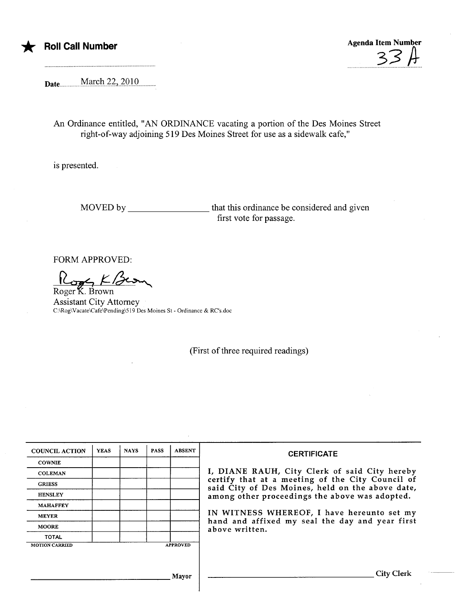

## **Roll Call Number**

**Agenda Item Number** 

March 22, 2010 Date

An Ordinance entitled, "AN ORDINANCE vacating a portion of the Des Moines Street right-of-way adjoining 519 Des Moines Street for use as a sidewalk cafe,"

is presented.

MOVED by \_\_\_\_\_\_\_\_\_\_\_\_\_\_\_\_\_\_\_\_\_\_\_that this ordinance be considered and given first vote for passage.

**FORM APPROVED:** 

Roger K. Brown

**Assistant City Attorney** C:\Rog\Vacate\Cafe\Pending\519 Des Moines St - Ordinance & RC's.doc

(First of three required readings)

| <b>COUNCIL ACTION</b> | <b>YEAS</b> | <b>NAYS</b> | <b>PASS</b> | <b>ABSENT</b>   | <b>CERTIFICATE</b>                                                                                                                                                                                                                                                                                                         |
|-----------------------|-------------|-------------|-------------|-----------------|----------------------------------------------------------------------------------------------------------------------------------------------------------------------------------------------------------------------------------------------------------------------------------------------------------------------------|
| <b>COWNIE</b>         |             |             |             |                 |                                                                                                                                                                                                                                                                                                                            |
| <b>COLEMAN</b>        |             |             |             |                 | I, DIANE RAUH, City Clerk of said City hereby<br>certify that at a meeting of the City Council of<br>said City of Des Moines, held on the above date,<br>among other proceedings the above was adopted.<br>IN WITNESS WHEREOF, I have hereunto set my<br>hand and affixed my seal the day and year first<br>above written. |
| <b>GRIESS</b>         |             |             |             |                 |                                                                                                                                                                                                                                                                                                                            |
| <b>HENSLEY</b>        |             |             |             |                 |                                                                                                                                                                                                                                                                                                                            |
| <b>MAHAFFEY</b>       |             |             |             |                 |                                                                                                                                                                                                                                                                                                                            |
| <b>MEYER</b>          |             |             |             |                 |                                                                                                                                                                                                                                                                                                                            |
| <b>MOORE</b>          |             |             |             |                 |                                                                                                                                                                                                                                                                                                                            |
| <b>TOTAL</b>          |             |             |             |                 |                                                                                                                                                                                                                                                                                                                            |
| <b>MOTION CARRIED</b> |             |             |             | <b>APPROVED</b> |                                                                                                                                                                                                                                                                                                                            |
|                       |             |             |             |                 |                                                                                                                                                                                                                                                                                                                            |
|                       |             |             |             |                 |                                                                                                                                                                                                                                                                                                                            |
| <b>Mavor</b>          |             |             |             |                 | City Clerk                                                                                                                                                                                                                                                                                                                 |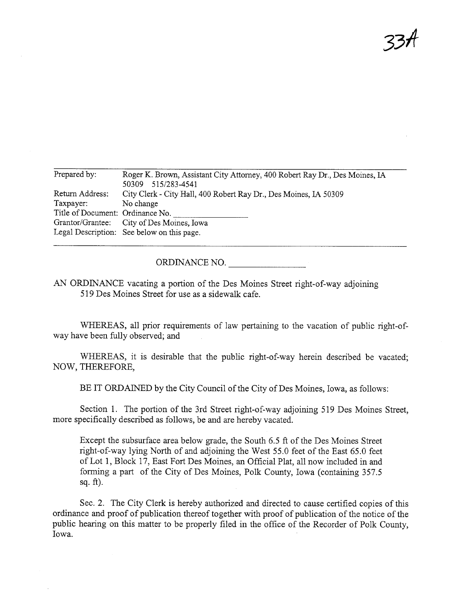$35<sup>π</sup>$ 

| Roger K. Brown, Assistant City Attorney, 400 Robert Ray Dr., Des Moines, IA<br>50309 515/283-4541 |  |  |  |  |
|---------------------------------------------------------------------------------------------------|--|--|--|--|
|                                                                                                   |  |  |  |  |
| City Clerk - City Hall, 400 Robert Ray Dr., Des Moines, IA 50309                                  |  |  |  |  |
| No change                                                                                         |  |  |  |  |
| Title of Document: Ordinance No.                                                                  |  |  |  |  |
| Grantor/Grantee: City of Des Moines, Iowa                                                         |  |  |  |  |
| Legal Description: See below on this page.                                                        |  |  |  |  |
|                                                                                                   |  |  |  |  |

ORDINANCE NO.

AN ORDINANCE vacating a portion of the Des Moines Street right-of-way adjoining 519 Des Moines Street for use as a sidewalk cafe.

WHEREAS, all prior requirements of law pertaining to the vacation of public right-ofway have been fully observed; and

WHEREAS, it is desirable that the public right-of-way herein described be vacated; NOW, THEREFORE,

BE IT ORDAINED by the City Council of the City of Des Moines, Iowa, as follows:

Section 1. The portion of the 3rd Street right-of-way adjoining 519 Des Moines Street, more specifically described as follows, be and are hereby vacated.

Except the subsurface area below grade, the South 6.5 ft of the Des Moines Street right-of-way lying North of and adjoining the West 55.0 feet of the East 65.0 feet of Lot 1, Block 17, East Fort Des Moines, an Official Plat, all now included in and forming a part of the City of Des Moines, Polk County, Iowa (containing 357.5 sq.  $ft$ ).

Sec. 2. The City Clerk is hereby authorized and directed to cause certified copies of this ordinance and proof of publication thereof together with proof of publication of the notice of the public hearng on this matter to be properly filed in the office of the Recorder of Polk County, Iowa.